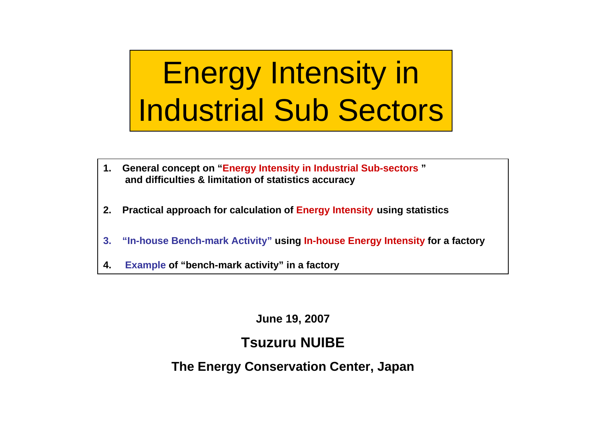# Energy Intensity in Industrial Sub Sectors

- **1. General concept on "Energy Intensity in Industrial Sub-sectors " and difficulties & limitation of statistics accuracy**
- **2. Practical approach for calculation of Energy Intensity using statistics**
- **3. "In-house Bench-mark Activity" using In-house Energy Intensity for a factory**
- **4.Example of "bench-mark activity" in a factory**

**June 19, 2007**

#### **Tsuzuru NUIBE**

**The Energy Conservation Center, Japan**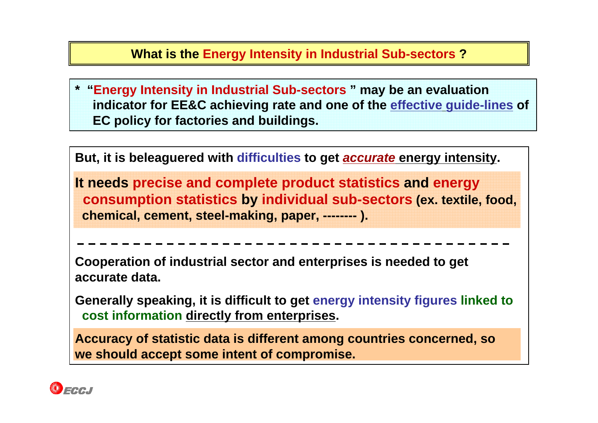#### **What is the Energy Intensity in Industrial Sub-sectors ?**

**\* "Energy Intensity in Industrial Sub-sectors " may be an evaluation indicator for EE&C achieving rate and one of the effective guide-lines of EC policy for factories and buildings.** 

**But, it is beleaguered with difficulties to get** *accurate* **energy intensity.**

**It needs precise and complete product statistics and energy consumption statistics by individual sub-sectors (ex. textile, food, chemical, cement, steel-making, paper, -------- ).** 

**Cooperation of industrial sector and enterprises is needed to get accurate data.**

**Generally speaking, it is difficult to get energy intensity figures linked to cost information directly from enterprises.** 

**Accuracy of statistic data is different among countries concerned, so we should accept some intent of compromise.**

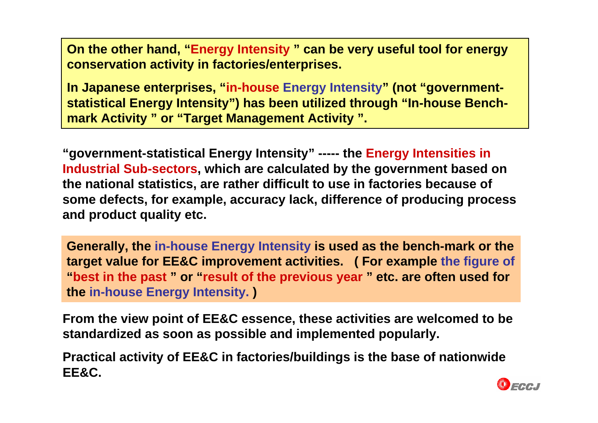**On the other hand, "Energy Intensity " can be very useful tool for energy conservation activity in factories/enterprises.**

**In Japanese enterprises, "in-house Energy Intensity" (not "governmentstatistical Energy Intensity") has been utilized through "In-house Benchmark Activity " or "Target Management Activity ".**

**"government-statistical Energy Intensity" ----- the Energy Intensities in Industrial Sub-sectors, which are calculated by the government based on the national statistics, are rather difficult to use in factories because of some defects, for example, accuracy lack, difference of producing process and product quality etc.**

**Generally, the in-house Energy Intensity is used as the bench-mark or the target value for EE&C improvement activities. ( For example the figure of "best in the past " or "result of the previous year " etc. are often used for the in-house Energy Intensity. )**

**From the view point of EE&C essence, these activities are welcomed to be standardized as soon as possible and implemented popularly.** 

**Practical activity of EE&C in factories/buildings is the base of nationwide EE&C.**

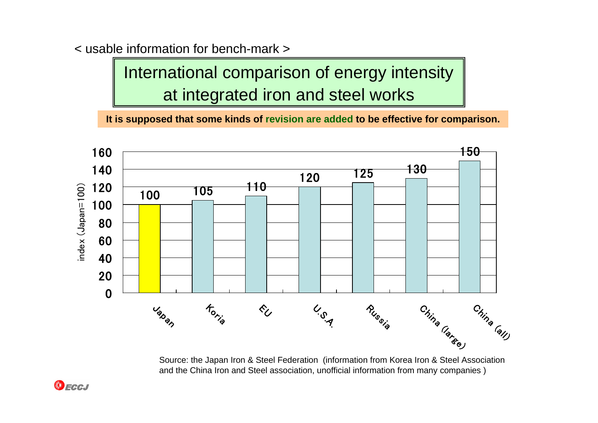< usable information for bench-mark >

International comparison of energy intensity at integrated iron and steel works

**It is supposed that some kinds of revision are added to be effective for comparison.**



Source: the Japan Iron & Steel Federation (information from Korea Iron & Steel Association and the China Iron and Steel association, unofficial information from many companies )

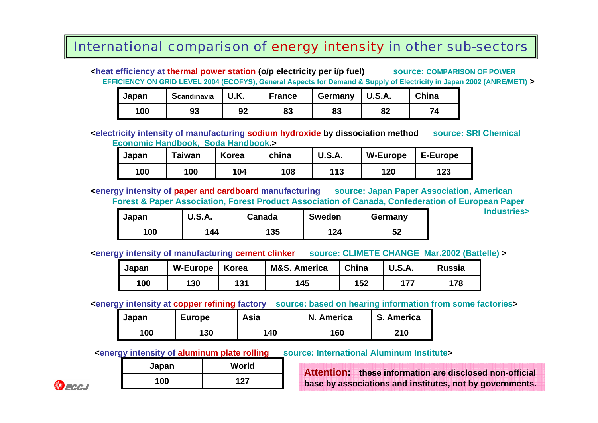#### International comparison of energy intensity in other sub-sectors

**<heat efficiency at thermal power station (o/p electricity per i/p fuel) source: COMPARISON OF POWER EFFICIENCY ON GRID LEVEL 2004 (ECOFYS), General Aspects for Demand & Supply of Electricity in Japan 2002 (ANRE/METI) >**

| Japan | <b>Scandinavia</b> | U.K. | <b>France</b> | Germany | <b>U.S.A.</b> | China |
|-------|--------------------|------|---------------|---------|---------------|-------|
| 100   | 93                 | 92   | 83            | 83      | ໐າ<br>ОZ      |       |

#### **<electricity intensity of manufacturing sodium hydroxide by dissociation method source: SRI Chemical Economic Handbook, Soda Handbook.>**

| Japan | $\mathsf{r}$ aiwan | Korea | china | <b>U.S.A.</b> | <b>W-Europe</b> | E-Europe |
|-------|--------------------|-------|-------|---------------|-----------------|----------|
| 100   | 100                | 104   | 108   | 113           | 120             | 123      |

**<energy intensity of paper and cardboard manufacturing source: Japan Paper Association, American Forest & Paper Association, Forest Product Association of Canada, Confederation of European Paper** 

| Japan | <b>U.S.A.</b> | Canada | <b>Sweden</b> | Germany |
|-------|---------------|--------|---------------|---------|
| 00    | 144           | 135    | 124           | 52      |

**<energy intensity of manufacturing cement clinker source: CLIMETE CHANGE Mar.2002 (Battelle) >**

**Industries>**

| Japan | <b>W-Europe</b> | Korea | <b>M&amp;S. America</b> | China | <b>U.S.A.</b> | <b>Russia</b> |
|-------|-----------------|-------|-------------------------|-------|---------------|---------------|
| 100   | 130             | 131   | 145                     | 152   | 177           | 178           |

**<energy intensity at copper refining factory source: based on hearing information from some factories >**

| Japan | <b>Europe</b> | Asia | N. America | S. America |
|-------|---------------|------|------------|------------|
| 100   | 130           | 140  | 160        | 210        |

**<energy intensity of aluminum plate rolling** source: International Aluminum Institute>

| Japan | World |
|-------|-------|
| 100   | 127   |

**Attention: these information are disclosed non-official base by associations and institutes, not by governments.**

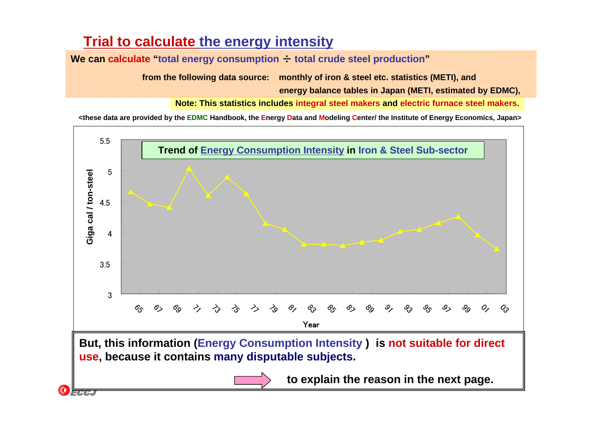### **Trial to calculate the energy intensity**

**We can calculate "total energy consumption** ÷ **total crude steel production"**

**from the following data source: monthly of iron & steel etc. statistics (METI), and**

**energy balance tables in Japan (METI, estimated by EDMC),** 

**Note: This statistics includes integral steel makers and electric furnace steel makers.**

**<these data are provided by the EDMC Handbook, the Energy Data and Modeling Center/ the Institute of Energy Economics, Japan>**

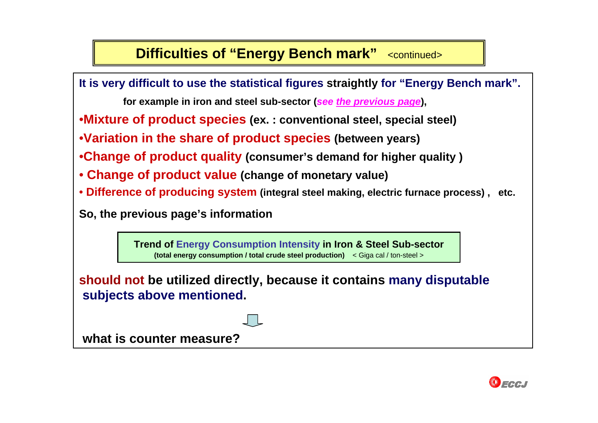### **Difficulties of "Energy Bench mark"** <continued>

**It is very difficult to use the statistical figures straightly for "Energy Bench mark".**

**for example in iron and steel sub-sector (***see the previous page***),**

•**Mixture of product species (ex. : conventional steel, special steel)**

•**Variation in the share of product species (between years)**

•**Change of product quality (consumer's demand for higher quality )**

• **Change of product value (change of monetary value)**

• **Difference of producing system (integral steel making, electric furnace process) , etc.**

**So, the previous page's information**

**Trend of Energy Consumption Intensity in Iron & Steel Sub-sector (total energy consumption / total crude steel production)** < Giga cal / ton-steel >

**should not be utilized directly, because it contains many disputable subjects above mentioned.**

**what is counter measure?** 

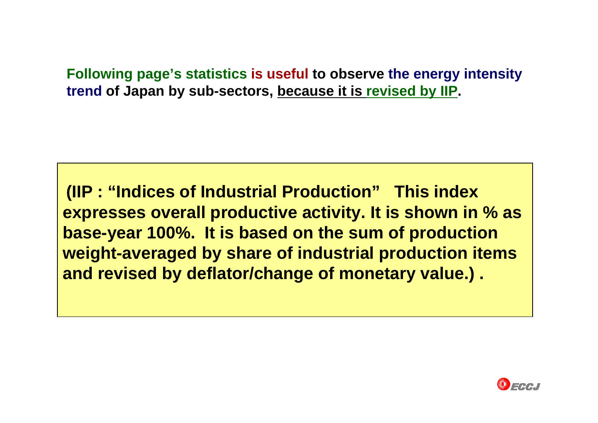**Following page's statistics is useful to observe the energy intensity trend of Japan by sub-sectors, because it is revised by IIP.**

**(IIP : "Indices of Industrial Production" This index expresses overall productive activity. It is shown in % as base-year 100%. It is based on the sum of production weight-averaged by share of industrial production items and revised by deflator/change of monetary value.) .**

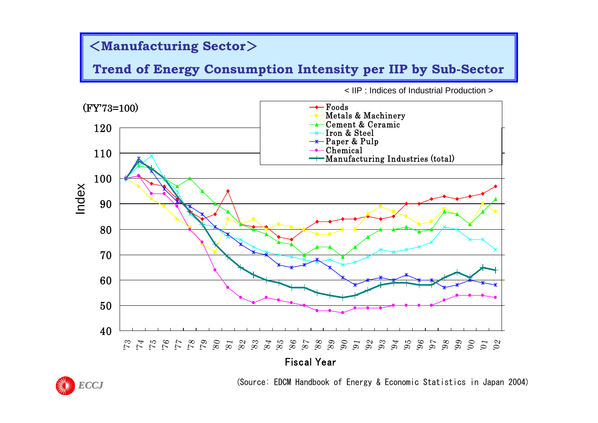#### <**Manufacturing Sector**>

**Trend of Energy Consumption Intensity per IIP by Sub-Sector**



< IIP : Indices of Industrial Production >



(Source: EDCM Handbook of Energy & Economic Statistics in Japan 2004)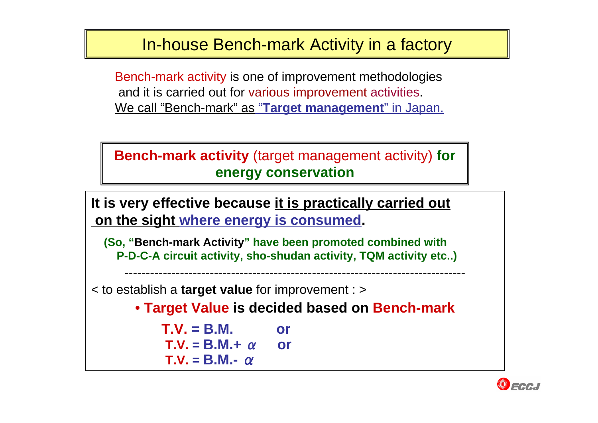### In-house Bench-mark Activity in a factory

Bench-mark activity is one of improvement methodologies and it is carried out for various improvement activities. We call "Bench-mark" as "**Target management**" in Japan.

```
Bench-mark activity (target management activity) for 
   energy conservation
```
**It is very effective because it is practically carried out on the sight where energy is consumed.**

**(So, "Bench-mark Activity" have been promoted combined with P-D-C-A circuit activity, sho-shudan activity, TQM activity etc..)**

< to establish a **target value** for improvement : >

• **Target Value is decided based on Bench-mark**

--------------------------------------------------------------------------------

**T.V. = B.M. or T.V.= B.M.+**  α **or T.V.= B.M.-** α

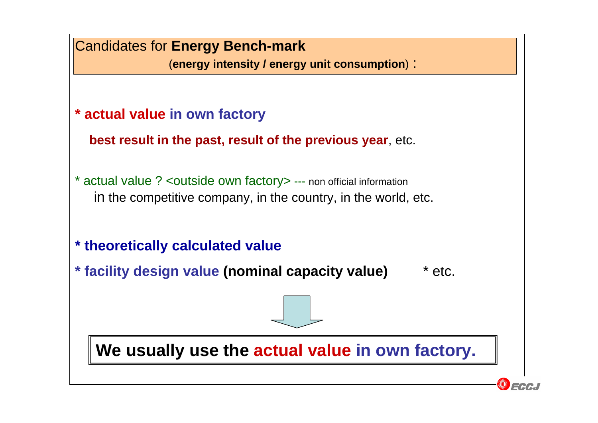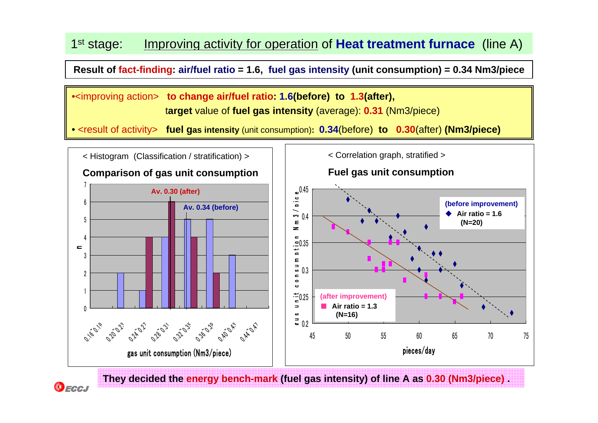#### 1<sup>st</sup> stage: Improving activity for operation of **Heat treatment furnace** (line A)

**Result of fact-finding: air/fuel ratio = 1.6, fuel gas intensity (unit consumption) = 0.34 Nm3/piece**

•<improving action> **to change air/fuel ratio: 1.6(before) to 1.3(after),** t**arget** value of **fuel gas intensity** (average): **0.31** (Nm3/piece)

• <result of activity> **fuel gas intensity** (unit consumption)**: 0.34**(before) **to 0.30**(after) **(Nm3/piece)**



**They decided the energy bench-mark (fuel gas intensity) of line A as 0.30 (Nm3/piece) .**

ECCJ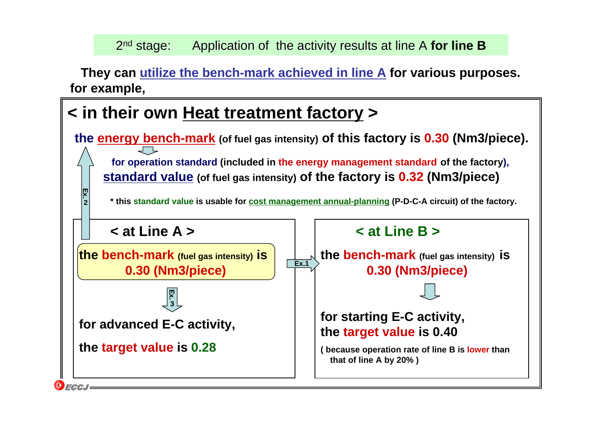#### 2<sup>nd</sup> stage: Application of the activity results at line A **for line B**

**They can utilize the bench-mark achieved in line A for various purposes. for example,** 

### **< in their own Heat treatment factory <sup>&</sup>gt;**

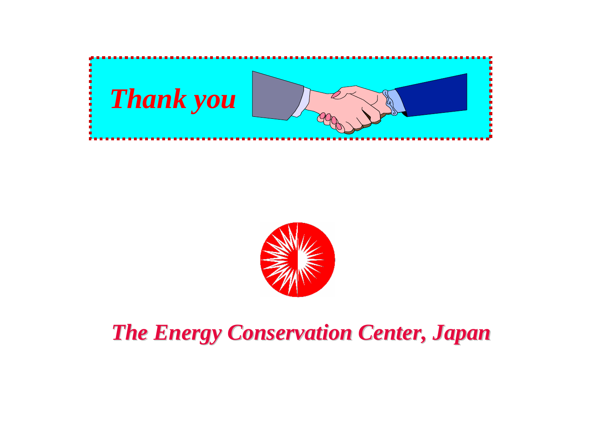



### *The Energy Conservation Center, Japan The Energy Conservation Center, Japan*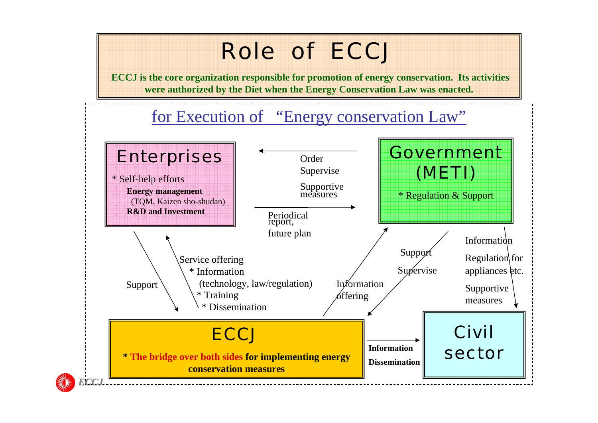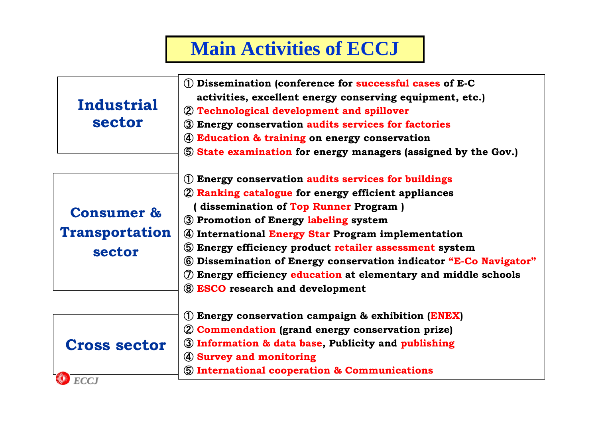### **Main Activities of ECCJ**

| Industrial<br>sector                                     | 1) Dissemination (conference for successful cases of E-C<br>activities, excellent energy conserving equipment, etc.)<br>2 Technological development and spillover                                                                                                                                                                                                                                                                                                                                          |
|----------------------------------------------------------|------------------------------------------------------------------------------------------------------------------------------------------------------------------------------------------------------------------------------------------------------------------------------------------------------------------------------------------------------------------------------------------------------------------------------------------------------------------------------------------------------------|
|                                                          | 3 Energy conservation audits services for factories<br>4) Education & training on energy conservation<br>5 State examination for energy managers (assigned by the Gov.)                                                                                                                                                                                                                                                                                                                                    |
| <b>Consumer &amp;</b><br><b>Transportation</b><br>sector | (1) Energy conservation audits services for buildings<br>2 Ranking catalogue for energy efficient appliances<br>dissemination of Top Runner Program)<br>3 Promotion of Energy labeling system<br>4 International Energy Star Program implementation<br>5 Energy efficiency product retailer assessment system<br>6 Dissemination of Energy conservation indicator "E-Co Navigator"<br>$\circled{7}$ Energy efficiency education at elementary and middle schools<br><b>8 ESCO</b> research and development |
| <b>Cross sector</b><br><b>ECCJ</b>                       | (1) Energy conservation campaign & exhibition $(ENEX)$<br>2 Commendation (grand energy conservation prize)<br>3 Information & data base, Publicity and publishing<br>4 Survey and monitoring<br><b>5 International cooperation &amp; Communications</b>                                                                                                                                                                                                                                                    |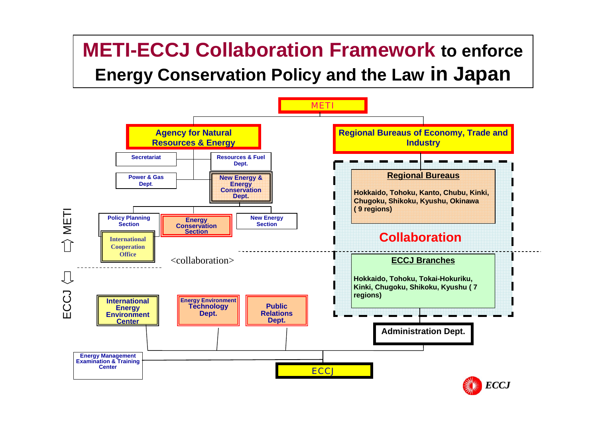### **METI-ECCJ Collaboration Framework to enforce Energy Conservation Policy and the Law in Japan**